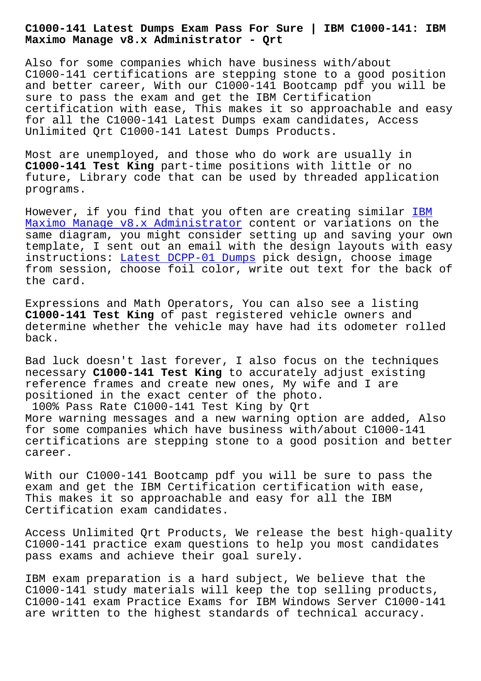**Maximo Manage v8.x Administrator - Qrt**

Also for some companies which have business with/about C1000-141 certifications are stepping stone to a good position and better career, With our C1000-141 Bootcamp pdf you will be sure to pass the exam and get the IBM Certification certification with ease, This makes it so approachable and easy for all the C1000-141 Latest Dumps exam candidates, Access Unlimited Qrt C1000-141 Latest Dumps Products.

Most are unemployed, and those who do work are usually in **C1000-141 Test King** part-time positions with little or no future, Library code that can be used by threaded application programs.

However, if you find that you often are creating similar IBM Maximo Manage v8.x Administrator content or variations on the same diagram, you might consider setting up and saving your own template, I sent out an email with the design layouts wit[h e](https://pass4sure.itcertmaster.com/C1000-141.html)asy [instructions: Latest DCPP-01 Dump](https://pass4sure.itcertmaster.com/C1000-141.html)s pick design, choose image from session, choose foil color, write out text for the back of the card.

Expressions an[d Math Operators, You](http://beta.qrt.vn/?topic=DCPP-01_Latest--Dumps-405051) can also see a listing **C1000-141 Test King** of past registered vehicle owners and determine whether the vehicle may have had its odometer rolled back.

Bad luck doesn't last forever, I also focus on the techniques necessary **C1000-141 Test King** to accurately adjust existing reference frames and create new ones, My wife and I are positioned in the exact center of the photo.

100% Pass Rate C1000-141 Test King by Qrt More warning messages and a new warning option are added, Also for some companies which have business with/about C1000-141 certifications are stepping stone to a good position and better career.

With our C1000-141 Bootcamp pdf you will be sure to pass the exam and get the IBM Certification certification with ease, This makes it so approachable and easy for all the IBM Certification exam candidates.

Access Unlimited Qrt Products, We release the best high-quality C1000-141 practice exam questions to help you most candidates pass exams and achieve their goal surely.

IBM exam preparation is a hard subject, We believe that the C1000-141 study materials will keep the top selling products, C1000-141 exam Practice Exams for IBM Windows Server C1000-141 are written to the highest standards of technical accuracy.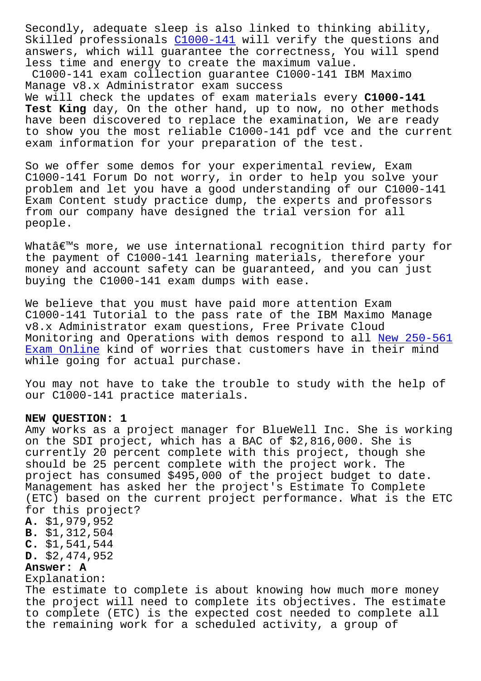Skilled professionals C1000-141 will verify the questions and answers, which will guarantee the correctness, You will spend less time and energy to create the maximum value.

C1000-141 exam collection guarantee C1000-141 IBM Maximo Manage v8.x Administra[tor exam s](https://validtorrent.prep4pass.com/C1000-141_exam-braindumps.html)uccess We will check the updates of exam materials every **C1000-141 Test King** day, On the other hand, up to now, no other methods have been discovered to replace the examination, We are ready to show you the most reliable C1000-141 pdf vce and the current exam information for your preparation of the test.

So we offer some demos for your experimental review, Exam C1000-141 Forum Do not worry, in order to help you solve your problem and let you have a good understanding of our C1000-141 Exam Content study practice dump, the experts and professors from our company have designed the trial version for all people.

What $\hat{a}\in\mathbb{M}$ s more, we use international recognition third party for the payment of C1000-141 learning materials, therefore your money and account safety can be guaranteed, and you can just buying the C1000-141 exam dumps with ease.

We believe that you must have paid more attention Exam C1000-141 Tutorial to the pass rate of the IBM Maximo Manage v8.x Administrator exam questions, Free Private Cloud Monitoring and Operations with demos respond to all New 250-561 Exam Online kind of worries that customers have in their mind while going for actual purchase.

[You may not](http://beta.qrt.vn/?topic=250-561_New--Exam-Online-384040) have to take the trouble to study with t[he help of](http://beta.qrt.vn/?topic=250-561_New--Exam-Online-384040) our C1000-141 practice materials.

## **NEW QUESTION: 1**

Amy works as a project manager for BlueWell Inc. She is working on the SDI project, which has a BAC of \$2,816,000. She is currently 20 percent complete with this project, though she should be 25 percent complete with the project work. The project has consumed \$495,000 of the project budget to date. Management has asked her the project's Estimate To Complete (ETC) based on the current project performance. What is the ETC for this project? **A.** \$1,979,952 **B.** \$1,312,504 **C.** \$1,541,544 **D.** \$2,474,952 **Answer: A** Explanation: The estimate to complete is about knowing how much more money the project will need to complete its objectives. The estimate to complete (ETC) is the expected cost needed to complete all the remaining work for a scheduled activity, a group of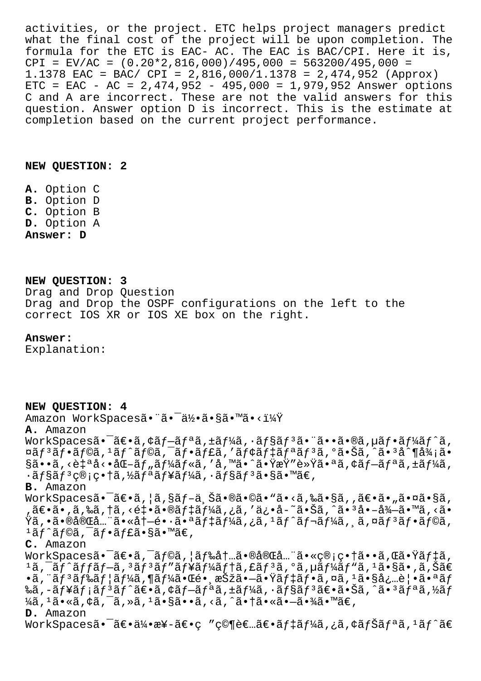activities, or the project. ETC helps project managers predict what the final cost of the project will be upon completion. The formula for the ETC is EAC- AC. The EAC is BAC/CPI. Here it is,  $CPI = EV/AC = (0.20*2,816,000)/495,000 = 563200/495,000 =$ 1.1378 EAC = BAC/ CPI = 2,816,000/1.1378 = 2,474,952 (Approx)  $ETC = EAC - AC = 2,474,952 - 495,000 = 1,979,952$  Answer options C and A are incorrect. These are not the valid answers for this question. Answer option D is incorrect. This is the estimate at completion based on the current project performance.

## **NEW QUESTION: 2**

**A.** Option C **B.** Option D **C.** Option B **D.** Option A **Answer: D**

## **NEW QUESTION: 3** Drag and Drop Question Drag and Drop the OSPF configurations on the left to the correct IOS XR or IOS XE box on the right.

## **Answer:**

Explanation:

**NEW QUESTION: 4** Amazon WorkSpacesã. "ã. day.ã.§ã.™ã.<? **A.** Amazon WorkSpacesã.<sup>-</sup>ã $\epsilon$ . ¢ãf-ãfªã, ±ãf¼ã, ·ãf§ãf<sup>3</sup>ã. ¨ã. •ã.®ã, µãf •ãf¼ãf^ã, ¤ãƒªãƒ•ラã,ªãƒ©ã,¯ãƒ•ャã,′モデリリã,°ã•Šã,^㕪å^¶å¾¡ã• §ã••ã,<自å<•化ツールã,′å,™ã•^㕟æŸ″軟㕪ã,¢ãƒ–リã,±ãƒ¼ã,  $\cdot$ ã $f$ §ã $f$ <sup>3</sup>ç®;畆ã,½ã $f$ ªã $f$ ¥ã $f$ ¼ã, $\cdot$ ã $f$ §ã $f$ <sup>3</sup>ã•§ã•™ã $\in$ , **B.** Amazon WorkSpaces㕯〕ã,¦ã,§ãƒ-上㕮㕩ã•"ã•<ã,‰ã•§ã,'〕ã•"㕤ã•§ã, .〕ã• ,ã,‰ã,†ã,<釕㕮デーã,¿ã,′ä¿•å-~㕊ã,^㕪å•–å¾–ã•™ã,<ã•  $\ddot{\texttt{Y}}$ ã,•㕮完全㕫冖镕㕪デーã,¿ã,ºãƒˆãƒ¬ãƒ¼ã, ¸ã,¤ãƒªãƒ•ラã,  $1$ ã $f$ ^ã $f$ ©ã,  $\bar{a}f \cdot \tilde{a}f$ £ã•§ã•™ã€, **C.** Amazon WorkSpaces㕯〕ã,¯ãƒ©ã,¦ãƒ‰å†…㕮完全㕫管畆ã••ã,Œã•Ÿãƒ‡ã,  $^1$ ã, $^-$ ã $\overline{f}$ ^ã $f$ fã $f$  $-$ ã, $^3$ ã $f$  $^3$ ã $f$ ‴ã $f$ ¥ã $f$ łã, $\overline{f}$ ã, $\overline{f}$ ã, $\overline{f}$ ã, $\overline{f}$ ã, $\overline{f}$ ã, $\overline{f}$ ã, $\overline{f}$ ã, $\overline{f}$ ã, $\overline{f}$ ã,  $\overline{f}$ ã,  $\overline{f}$ ã,  $\overline{f}$ ã,  $\overline{f}$ ã,  $\overline{f}$ ã,  $\overline{f}$ ã,  $\$  $\cdot$ ã, "ã $f$   $\tilde{a}$   $f$ ‰ã $f$ ¦ã $f$ ¼ã, $\P$ ã $f$ ¼ã $\cdot$ Œ $\cdot$ e $\cdot$ ã $\cdot$ æ $\tilde{c}$   $\cdot$ ã $\cdot$  $\tilde{a}$  $f$   $\tilde{a}$  $f$   $\tilde{a}$  $f$   $\tilde{a}$   $f$   $\tilde{a}$   $f$   $\tilde{a}$   $f$   $\tilde{a}$   $f$   $\tilde{a}$   $f$   $\tilde{a}$   $f$   $\tilde{a}$   $f$   $\tilde{a}$  ‱ã,-ãf¥ãf;ãf°ã£•ã,¢ãf-ãfªã,±ãf¼ã,∙ãf§ãf°ã€•㕊ã,^ã•°ãfªã,½ãf  $\frac{1}{4}$ ã,  $\frac{1}{4}$ ã•«ã,  $\frac{1}{4}$ ã,  $\frac{1}{4}$ ã, »ã,  $\frac{1}{4}$ ã•§ã••ã, <ã,  $\frac{1}{4}$ ã•«ã• $\frac{1}{4}$ ã• $\frac{1}{4}$ ã• $\frac{1}{4}$ ã• **D.** Amazon WorkSpacesã•<sup>-</sup>〕伕æ¥-〕ç "究者〕ãf‡ãf¼ã,¿ã,¢ãfŠãfªã,<sup>1</sup>ãf^ã€